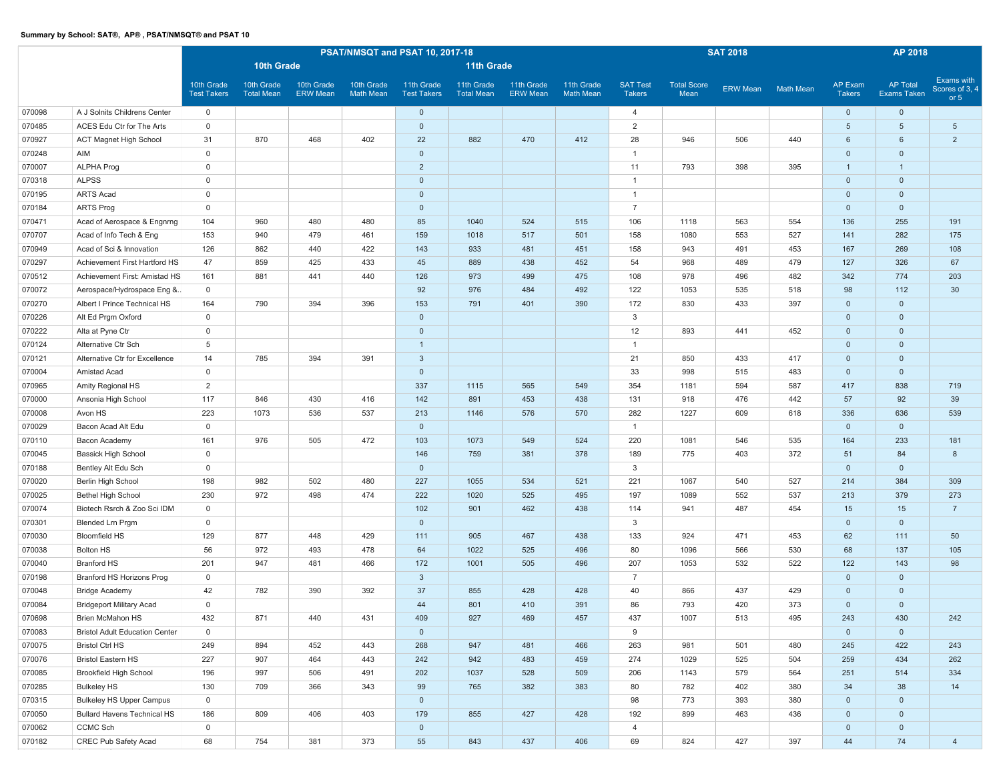|        |                                       |                                  |                                 |                               |                                | PSAT/NMSQT and PSAT 10, 2017-18  |                                 |                               | <b>SAT 2018</b>                |                                  | AP 2018                    |                 |                  |                          |                                       |                                        |  |
|--------|---------------------------------------|----------------------------------|---------------------------------|-------------------------------|--------------------------------|----------------------------------|---------------------------------|-------------------------------|--------------------------------|----------------------------------|----------------------------|-----------------|------------------|--------------------------|---------------------------------------|----------------------------------------|--|
|        |                                       |                                  | 10th Grade                      |                               |                                |                                  | <b>11th Grade</b>               |                               |                                |                                  |                            |                 |                  |                          |                                       |                                        |  |
|        |                                       | 10th Grade<br><b>Test Takers</b> | 10th Grade<br><b>Total Mean</b> | 10th Grade<br><b>ERW Mean</b> | 10th Grade<br><b>Math Mean</b> | 11th Grade<br><b>Test Takers</b> | 11th Grade<br><b>Total Mean</b> | 11th Grade<br><b>ERW Mean</b> | 11th Grade<br><b>Math Mean</b> | <b>SAT Test</b><br><b>Takers</b> | <b>Total Score</b><br>Mean | <b>ERW Mean</b> | <b>Math Mean</b> | AP Exam<br><b>Takers</b> | <b>AP Total</b><br><b>Exams Taken</b> | Exams with<br>Scores of 3, 4<br>or $5$ |  |
| 070098 | A J Solnits Childrens Center          | $\mathbf 0$                      |                                 |                               |                                | $\mathbf 0$                      |                                 |                               |                                | $\overline{4}$                   |                            |                 |                  | $\mathbf 0$              | $\mathbf 0$                           |                                        |  |
| 070485 | ACES Edu Ctr for The Arts             | $\mathsf{O}\xspace$              |                                 |                               |                                | $\mathbf 0$                      |                                 |                               |                                | 2                                |                            |                 |                  | $5\overline{)}$          | $5\phantom{.0}$                       | $5\overline{)}$                        |  |
| 070927 | ACT Magnet High School                | 31                               | 870                             | 468                           | 402                            | 22                               | 882                             | 470                           | 412                            | 28                               | 946                        | 506             | 440              | 6                        | $6\phantom{1}$                        | $\overline{2}$                         |  |
| 070248 | AIM                                   | $\mathsf{O}\xspace$              |                                 |                               |                                | $\mathbf 0$                      |                                 |                               |                                | $\overline{1}$                   |                            |                 |                  | $\mathbf{0}$             | $\mathbf 0$                           |                                        |  |
| 070007 | ALPHA Prog                            | $\mathbf 0$                      |                                 |                               |                                | $\overline{2}$                   |                                 |                               |                                | 11                               | 793                        | 398             | 395              | $\mathbf{1}$             | $\overline{1}$                        |                                        |  |
| 070318 | <b>ALPSS</b>                          | $\mathbf 0$                      |                                 |                               |                                | $\mathbf 0$                      |                                 |                               |                                | $\overline{1}$                   |                            |                 |                  | $\mathbf 0$              | $\mathbf 0$                           |                                        |  |
| 070195 | ARTS Acad                             | $\mathsf{O}\xspace$              |                                 |                               |                                | $\mathbf 0$                      |                                 |                               |                                | $\overline{1}$                   |                            |                 |                  | $\mathbf 0$              | $\mathbf 0$                           |                                        |  |
| 070184 | <b>ARTS Prog</b>                      | $\mathbf 0$                      |                                 |                               |                                | $\mathbf 0$                      |                                 |                               |                                | $\overline{7}$                   |                            |                 |                  | $\mathbf{0}$             | $\mathbf 0$                           |                                        |  |
| 070471 | Acad of Aerospace & Engnrng           | 104                              | 960                             | 480                           | 480                            | 85                               | 1040                            | 524                           | 515                            | 106                              | 1118                       | 563             | 554              | 136                      | 255                                   | 191                                    |  |
| 070707 | Acad of Info Tech & Eng               | 153                              | 940                             | 479                           | 461                            | 159                              | 1018                            | 517                           | 501                            | 158                              | 1080                       | 553             | 527              | 141                      | 282                                   | 175                                    |  |
| 070949 | Acad of Sci & Innovation              | 126                              | 862                             | 440                           | 422                            | 143                              | 933                             | 481                           | 451                            | 158                              | 943                        | 491             | 453              | 167                      | 269                                   | 108                                    |  |
| 070297 | Achievement First Hartford HS         | 47                               | 859                             | 425                           | 433                            | 45                               | 889                             | 438                           | 452                            | 54                               | 968                        | 489             | 479              | 127                      | 326                                   | 67                                     |  |
| 070512 | Achievement First: Amistad HS         | 161                              | 881                             | 441                           | 440                            | 126                              | 973                             | 499                           | 475                            | 108                              | 978                        | 496             | 482              | 342                      | 774                                   | 203                                    |  |
| 070072 | Aerospace/Hydrospace Eng &            | 0                                |                                 |                               |                                | 92                               | 976                             | 484                           | 492                            | 122                              | 1053                       | 535             | 518              | 98                       | 112                                   | 30                                     |  |
| 070270 | Albert I Prince Technical HS          | 164                              | 790                             | 394                           | 396                            | 153                              | 791                             | 401                           | 390                            | 172                              | 830                        | 433             | 397              | $\mathbf 0$              | $\mathbf 0$                           |                                        |  |
| 070226 | Alt Ed Prgm Oxford                    | $\mathsf 0$                      |                                 |                               |                                | $\mathbf 0$                      |                                 |                               |                                | 3                                |                            |                 |                  | $\mathbf 0$              | $\mathbf 0$                           |                                        |  |
| 070222 | Alta at Pyne Ctr                      | $\mathbf 0$                      |                                 |                               |                                | $\mathbf 0$                      |                                 |                               |                                | 12                               | 893                        | 441             | 452              | $\mathbf 0$              | $\mathbf 0$                           |                                        |  |
| 070124 | Alternative Ctr Sch                   | 5                                |                                 |                               |                                | $\mathbf{1}$                     |                                 |                               |                                | $\overline{1}$                   |                            |                 |                  | $\mathbf 0$              | $\mathbf 0$                           |                                        |  |
| 070121 | Alternative Ctr for Excellence        | 14                               | 785                             | 394                           | 391                            | $\mathbf{3}$                     |                                 |                               |                                | 21                               | 850                        | 433             | 417              | $\mathbf 0$              | $\mathbf 0$                           |                                        |  |
| 070004 | Amistad Acad                          | $\mathbf 0$                      |                                 |                               |                                | $\mathbf 0$                      |                                 |                               |                                | 33                               | 998                        | 515             | 483              | $\mathbf 0$              | $\mathbf 0$                           |                                        |  |
| 070965 | Amity Regional HS                     | $\overline{2}$                   |                                 |                               |                                | 337                              | 1115                            | 565                           | 549                            | 354                              | 1181                       | 594             | 587              | 417                      | 838                                   | 719                                    |  |
| 070000 | Ansonia High School                   | 117                              | 846                             | 430                           | 416                            | 142                              | 891                             | 453                           | 438                            | 131                              | 918                        | 476             | 442              | 57                       | 92                                    | 39                                     |  |
| 070008 | Avon HS                               | 223                              | 1073                            | 536                           | 537                            | 213                              | 1146                            | 576                           | 570                            | 282                              | 1227                       | 609             | 618              | 336                      | 636                                   | 539                                    |  |
| 070029 | Bacon Acad Alt Edu                    | $\mathbf 0$                      |                                 |                               |                                | $\mathbf 0$                      |                                 |                               |                                | $\overline{1}$                   |                            |                 |                  | $\mathbf 0$              | $\mathbf 0$                           |                                        |  |
| 070110 | Bacon Academy                         | 161                              | 976                             | 505                           | 472                            | 103                              | 1073                            | 549                           | 524                            | 220                              | 1081                       | 546             | 535              | 164                      | 233                                   | 181                                    |  |
| 070045 | Bassick High School                   | $\mathsf{O}\xspace$              |                                 |                               |                                | 146                              | 759                             | 381                           | 378                            | 189                              | 775                        | 403             | 372              | 51                       | 84                                    | 8                                      |  |
| 070188 | Bentley Alt Edu Sch                   | $\mathbf 0$                      |                                 |                               |                                | $\mathbf 0$                      |                                 |                               |                                | 3                                |                            |                 |                  | $\mathbf 0$              | $\mathbf 0$                           |                                        |  |
| 070020 | Berlin High School                    | 198                              | 982                             | 502                           | 480                            | 227                              | 1055                            | 534                           | 521                            | 221                              | 1067                       | 540             | 527              | 214                      | 384                                   | 309                                    |  |
| 070025 | Bethel High School                    | 230                              | 972                             | 498                           | 474                            | 222                              | 1020                            | 525                           | 495                            | 197                              | 1089                       | 552             | 537              | 213                      | 379                                   | 273                                    |  |
| 070074 | Biotech Rsrch & Zoo Sci IDM           | $\mathbf 0$                      |                                 |                               |                                | 102                              | 901                             | 462                           | 438                            | 114                              | 941                        | 487             | 454              | 15                       | 15                                    | $\overline{7}$                         |  |
| 070301 | Blended Lrn Prgm                      | $\mathbf 0$                      |                                 |                               |                                | $\mathbf 0$                      |                                 |                               |                                | 3                                |                            |                 |                  | $\mathbf 0$              | $\mathbf 0$                           |                                        |  |
| 070030 | <b>Bloomfield HS</b>                  | 129                              | 877                             | 448                           | 429                            | 111                              | 905                             | 467                           | 438                            | 133                              | 924                        | 471             | 453              | 62                       | 111                                   | 50                                     |  |
| 070038 | Bolton HS                             | 56                               | 972                             | 493                           | 478                            | 64                               | 1022                            | 525                           | 496                            | 80                               | 1096                       | 566             | 530              | 68                       | 137                                   | 105                                    |  |
| 070040 | <b>Branford HS</b>                    | 201                              | 947                             | 481                           | 466                            | 172                              | 1001                            | 505                           | 496                            | 207                              | 1053                       | 532             | 522              | 122                      | 143                                   | 98                                     |  |
| 070198 | Branford HS Horizons Prog             | $\mathbf 0$                      |                                 |                               |                                | $\mathbf{3}$                     |                                 |                               |                                | $\overline{7}$                   |                            |                 |                  | $\mathbf 0$              | $\mathbf 0$                           |                                        |  |
| 070048 | <b>Bridge Academy</b>                 | 42                               | 782                             | 390                           | 392                            | 37                               | 855                             | 428                           | 428                            | 40                               | 866                        | 437             | 429              | $\mathbf 0$              | $\mathbf 0$                           |                                        |  |
| 070084 | <b>Bridgeport Military Acad</b>       | $\mathbf 0$                      |                                 |                               |                                | 44                               | 801                             | 410                           | 391                            | 86                               | 793                        | 420             | 373              | $\mathbf 0$              | $\mathbf 0$                           |                                        |  |
| 070698 | Brien McMahon HS                      | 432                              | 871                             | 440                           | 431                            | 409                              | 927                             | 469                           | 457                            | 437                              | 1007                       | 513             | 495              | 243                      | 430                                   | 242                                    |  |
| 070083 | <b>Bristol Adult Education Center</b> | $\mathbf 0$                      |                                 |                               |                                | $\mathbf 0$                      |                                 |                               |                                | 9                                |                            |                 |                  | $\mathbf{0}$             | $\mathbf 0$                           |                                        |  |
| 070075 | <b>Bristol Ctrl HS</b>                | 249                              | 894                             | 452                           | 443                            | 268                              | 947                             | 481                           | 466                            | 263                              | 981                        | 501             | 480              | 245                      | 422                                   | 243                                    |  |
| 070076 | <b>Bristol Eastern HS</b>             | 227                              | 907                             | 464                           | 443                            | 242                              | 942                             | 483                           | 459                            | 274                              | 1029                       | 525             | 504              | 259                      | 434                                   | 262                                    |  |
| 070085 | Brookfield High School                | 196                              | 997                             | 506                           | 491                            | 202                              | 1037                            | 528                           | 509                            | 206                              | 1143                       | 579             | 564              | 251                      | 514                                   | 334                                    |  |
| 070285 | <b>Bulkeley HS</b>                    | 130                              | 709                             | 366                           | 343                            | 99                               | 765                             | 382                           | 383                            | 80                               | 782                        | 402             | 380              | 34                       | 38                                    | 14                                     |  |
| 070315 | <b>Bulkeley HS Upper Campus</b>       | $\mathsf 0$                      |                                 |                               |                                | $\mathbf 0$                      |                                 |                               |                                | 98                               | 773                        | 393             | 380              | $\mathbf{0}$             | $\overline{0}$                        |                                        |  |
| 070050 | <b>Bullard Havens Technical HS</b>    | 186                              | 809                             | 406                           | 403                            | 179                              | 855                             | 427                           | 428                            | 192                              | 899                        | 463             | 436              | $\mathbf{0}$             | $\mathbf 0$                           |                                        |  |
| 070062 | CCMC Sch                              | $\mathsf{O}\xspace$              |                                 |                               |                                | $\mathsf{O}\xspace$              |                                 |                               |                                | $\overline{4}$                   |                            |                 |                  | $\overline{0}$           | $\mathbf 0$                           |                                        |  |
| 070182 | CREC Pub Safety Acad                  | 68                               | 754                             | 381                           | 373                            | 55                               | 843                             | 437                           | 406                            | 69                               | 824                        | 427             | 397              | 44                       | 74                                    | $\overline{4}$                         |  |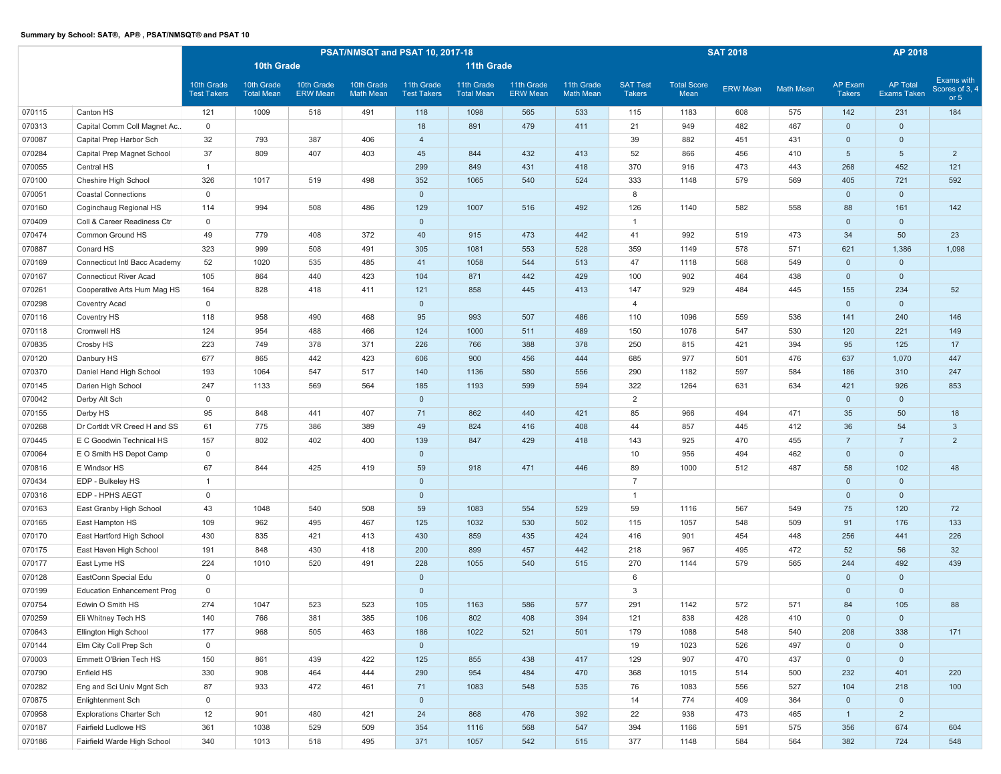|        |                                   |                                  |                                 |                               | PSAT/NMSQT and PSAT 10, 2017-18 |                                  |                                 |                               | <b>SAT 2018</b>                |                                  | AP 2018                    |                 |                  |                          |                                |                                        |
|--------|-----------------------------------|----------------------------------|---------------------------------|-------------------------------|---------------------------------|----------------------------------|---------------------------------|-------------------------------|--------------------------------|----------------------------------|----------------------------|-----------------|------------------|--------------------------|--------------------------------|----------------------------------------|
|        |                                   |                                  | 10th Grade                      |                               |                                 |                                  | 11th Grade                      |                               |                                |                                  |                            |                 |                  |                          |                                |                                        |
|        |                                   | 10th Grade<br><b>Test Takers</b> | 10th Grade<br><b>Total Mean</b> | 10th Grade<br><b>ERW Mean</b> | 10th Grade<br><b>Math Mean</b>  | 11th Grade<br><b>Test Takers</b> | 11th Grade<br><b>Total Mean</b> | 11th Grade<br><b>ERW Mean</b> | 11th Grade<br><b>Math Mean</b> | <b>SAT Test</b><br><b>Takers</b> | <b>Total Score</b><br>Mean | <b>ERW Mean</b> | <b>Math Mean</b> | AP Exam<br><b>Takers</b> | <b>AP Total</b><br>Exams Taken | Exams with<br>Scores of 3, 4<br>or $5$ |
| 070115 | Canton HS                         | 121                              | 1009                            | 518                           | 491                             | 118                              | 1098                            | 565                           | 533                            | 115                              | 1183                       | 608             | 575              | 142                      | 231                            | 184                                    |
| 070313 | Capital Comm Coll Magnet Ac       | $\mathbf 0$                      |                                 |                               |                                 | 18                               | 891                             | 479                           | 411                            | 21                               | 949                        | 482             | 467              | $\mathbf 0$              | $\mathbf 0$                    |                                        |
| 070087 | Capital Prep Harbor Sch           | 32                               | 793                             | 387                           | 406                             | $\overline{4}$                   |                                 |                               |                                | 39                               | 882                        | 451             | 431              | $\mathbf 0$              | $\mathsf{O}\xspace$            |                                        |
| 070284 | Capital Prep Magnet School        | 37                               | 809                             | 407                           | 403                             | 45                               | 844                             | 432                           | 413                            | 52                               | 866                        | 456             | 410              | $5\phantom{.0}$          | $5\phantom{.0}$                | $\overline{2}$                         |
| 070055 | Central HS                        | $\overline{1}$                   |                                 |                               |                                 | 299                              | 849                             | 431                           | 418                            | 370                              | 916                        | 473             | 443              | 268                      | 452                            | 121                                    |
| 070100 | Cheshire High School              | 326                              | 1017                            | 519                           | 498                             | 352                              | 1065                            | 540                           | 524                            | 333                              | 1148                       | 579             | 569              | 405                      | 721                            | 592                                    |
| 070051 | <b>Coastal Connections</b>        | $\mathbf 0$                      |                                 |                               |                                 | $\mathbf 0$                      |                                 |                               |                                | 8                                |                            |                 |                  | $\mathbf 0$              | $\mathbf 0$                    |                                        |
| 070160 | Coginchaug Regional HS            | 114                              | 994                             | 508                           | 486                             | 129                              | 1007                            | 516                           | 492                            | 126                              | 1140                       | 582             | 558              | 88                       | 161                            | 142                                    |
| 070409 | Coll & Career Readiness Ctr       | $\mathbf 0$                      |                                 |                               |                                 | $\mathbf 0$                      |                                 |                               |                                | $\overline{1}$                   |                            |                 |                  | $\mathbf 0$              | $\mathbf 0$                    |                                        |
| 070474 | Common Ground HS                  | 49                               | 779                             | 408                           | 372                             | 40                               | 915                             | 473                           | 442                            | 41                               | 992                        | 519             | 473              | 34                       | 50                             | 23                                     |
| 070887 | Conard HS                         | 323                              | 999                             | 508                           | 491                             | 305                              | 1081                            | 553                           | 528                            | 359                              | 1149                       | 578             | 571              | 621                      | 1,386                          | 1,098                                  |
| 070169 | Connecticut Intl Bacc Academy     | 52                               | 1020                            | 535                           | 485                             | 41                               | 1058                            | 544                           | 513                            | 47                               | 1118                       | 568             | 549              | $\mathbf 0$              | $\mathbf 0$                    |                                        |
| 070167 | <b>Connecticut River Acad</b>     | 105                              | 864                             | 440                           | 423                             | 104                              | 871                             | 442                           | 429                            | 100                              | 902                        | 464             | 438              | $\mathbf 0$              | $\mathbf 0$                    |                                        |
| 070261 | Cooperative Arts Hum Mag HS       | 164                              | 828                             | 418                           | 411                             | 121                              | 858                             | 445                           | 413                            | 147                              | 929                        | 484             | 445              | 155                      | 234                            | 52                                     |
| 070298 | Coventry Acad                     | $\mathbf{0}$                     |                                 |                               |                                 | $\mathbf{0}$                     |                                 |                               |                                | $\overline{4}$                   |                            |                 |                  | $\Omega$                 | $\mathbf{0}$                   |                                        |
| 070116 | Coventry HS                       | 118                              | 958                             | 490                           | 468                             | 95                               | 993                             | 507                           | 486                            | 110                              | 1096                       | 559             | 536              | 141                      | 240                            | 146                                    |
| 070118 | Cromwell HS                       | 124                              | 954                             | 488                           | 466                             | 124                              | 1000                            | 511                           | 489                            | 150                              | 1076                       | 547             | 530              | 120                      | 221                            | 149                                    |
| 070835 | Crosby HS                         | 223                              | 749                             | 378                           | 371                             | 226                              | 766                             | 388                           | 378                            | 250                              | 815                        | 421             | 394              | 95                       | 125                            | 17                                     |
| 070120 | Danbury HS                        | 677                              | 865                             | 442                           | 423                             | 606                              | 900                             | 456                           | 444                            | 685                              | 977                        | 501             | 476              | 637                      | 1,070                          | 447                                    |
| 070370 | Daniel Hand High School           | 193                              | 1064                            | 547                           | 517                             | 140                              | 1136                            | 580                           | 556                            | 290                              | 1182                       | 597             | 584              | 186                      | 310                            | 247                                    |
| 070145 | Darien High School                | 247                              | 1133                            | 569                           | 564                             | 185                              | 1193                            | 599                           | 594                            | 322                              | 1264                       | 631             | 634              | 421                      | 926                            | 853                                    |
| 070042 | Derby Alt Sch                     | $\mathbf 0$                      |                                 |                               |                                 | $\mathbf 0$                      |                                 |                               |                                | $\overline{2}$                   |                            |                 |                  | $\mathbf 0$              | $\mathbf 0$                    |                                        |
| 070155 | Derby HS                          | 95                               | 848                             | 441                           | 407                             | 71                               | 862                             | 440                           | 421                            | 85                               | 966                        | 494             | 471              | 35                       | 50                             | 18                                     |
| 070268 | Dr Cortldt VR Creed H and SS      | 61                               | 775                             | 386                           | 389                             | 49                               | 824                             | 416                           | 408                            | 44                               | 857                        | 445             | 412              | 36                       | 54                             | $\mathbf{3}$                           |
| 070445 | E C Goodwin Technical HS          | 157                              | 802                             | 402                           | 400                             | 139                              | 847                             | 429                           | 418                            | 143                              | 925                        | 470             | 455              | $\overline{7}$           | $\overline{7}$                 | $\overline{2}$                         |
| 070064 | E O Smith HS Depot Camp           | $\mathbf 0$                      |                                 |                               |                                 | $\mathbf 0$                      |                                 |                               |                                | 10                               | 956                        | 494             | 462              | $\mathbf 0$              | $\mathbf 0$                    |                                        |
| 070816 | E Windsor HS                      | 67                               | 844                             | 425                           | 419                             | 59                               | 918                             | 471                           | 446                            | 89                               | 1000                       | 512             | 487              | 58                       | 102                            | 48                                     |
| 070434 | EDP - Bulkeley HS                 | $\overline{1}$                   |                                 |                               |                                 | $\mathbf 0$                      |                                 |                               |                                | $\overline{7}$                   |                            |                 |                  | $\mathbf 0$              | $\mathsf 0$                    |                                        |
| 070316 | EDP - HPHS AEGT                   | $\mathbf 0$                      |                                 |                               |                                 | $\mathbf{0}$                     |                                 |                               |                                | $\overline{1}$                   |                            |                 |                  | $\mathbf{0}$             | $\mathbf 0$                    |                                        |
| 070163 | East Granby High School           | 43                               | 1048                            | 540                           | 508                             | 59                               | 1083                            | 554                           | 529                            | 59                               | 1116                       | 567             | 549              | 75                       | 120                            | 72                                     |
| 070165 | East Hampton HS                   | 109                              | 962                             | 495                           | 467                             | 125                              | 1032                            | 530                           | 502                            | 115                              | 1057                       | 548             | 509              | 91                       | 176                            | 133                                    |
| 070170 | East Hartford High School         | 430                              | 835                             | 421                           | 413                             | 430                              | 859                             | 435                           | 424                            | 416                              | 901                        | 454             | 448              | 256                      | 441                            | 226                                    |
| 070175 | East Haven High School            | 191                              | 848                             | 430                           | 418                             | 200                              | 899                             | 457                           | 442                            | 218                              | 967                        | 495             | 472              | 52                       | 56                             | 32                                     |
| 070177 | East Lyme HS                      | 224                              | 1010                            | 520                           | 491                             | 228                              | 1055                            | 540                           | 515                            | 270                              | 1144                       | 579             | 565              | 244                      | 492                            | 439                                    |
| 070128 | EastConn Special Edu              | $\mathbf 0$                      |                                 |                               |                                 | $\mathbf{0}$                     |                                 |                               |                                | 6                                |                            |                 |                  | $\mathbf{0}$             | $\mathbf 0$                    |                                        |
| 070199 | <b>Education Enhancement Prog</b> | $\mathbf 0$                      |                                 |                               |                                 | $\mathbf 0$                      |                                 |                               |                                | 3                                |                            |                 |                  | $\mathbf 0$              | $\mathbf 0$                    |                                        |
| 070754 | Edwin O Smith HS                  | 274                              | 1047                            | 523                           | 523                             | 105                              | 1163                            | 586                           | 577                            | 291                              | 1142                       | 572             | 571              | 84                       | 105                            | 88                                     |
| 070259 | Eli Whitney Tech HS               | 140                              | 766                             | 381                           | 385                             | 106                              | 802                             | 408                           | 394                            | 121                              | 838                        | 428             | 410              | $\mathbf 0$              | $\mathsf{O}\xspace$            |                                        |
| 070643 | Ellington High School             | 177                              | 968                             | 505                           | 463                             | 186                              | 1022                            | 521                           | 501                            | 179                              | 1088                       | 548             | 540              | 208                      | 338                            | 171                                    |
| 070144 | Elm City Coll Prep Sch            | $\mathbf 0$                      |                                 |                               |                                 | $\mathbf 0$                      |                                 |                               |                                | 19                               | 1023                       | 526             | 497              | $\mathbf 0$              | $\mathsf{O}\xspace$            |                                        |
| 070003 | Emmett O'Brien Tech HS            | 150                              | 861                             | 439                           | 422                             | 125                              | 855                             | 438                           | 417                            | 129                              | 907                        | 470             | 437              | $\mathsf{O}^-$           | $\mathbf{0}$                   |                                        |
| 070790 | Enfield HS                        | 330                              | 908                             | 464                           | 444                             | 290                              | 954                             | 484                           | 470                            | 368                              | 1015                       | 514             | 500              | 232                      | 401                            | 220                                    |
| 070282 | Eng and Sci Univ Mgnt Sch         | 87                               | 933                             | 472                           | 461                             | 71                               | 1083                            | 548                           | 535                            | 76                               | 1083                       | 556             | 527              | 104                      | 218                            | 100                                    |
| 070875 | Enlightenment Sch                 | $\mathbb O$                      |                                 |                               |                                 | $\mathbf 0$                      |                                 |                               |                                | 14                               | 774                        | 409             | 364              | $\mathbf 0$              | $\mathbf{0}$                   |                                        |
| 070958 | <b>Explorations Charter Sch</b>   | 12                               | 901                             | 480                           | 421                             | 24                               | 868                             | 476                           | 392                            | 22                               | 938                        | 473             | 465              | 1                        | $\overline{2}$                 |                                        |
| 070187 | Fairfield Ludlowe HS              | 361                              | 1038                            | 529                           | 509                             | 354                              | 1116                            | 568                           | 547                            | 394                              | 1166                       | 591             | 575              | 356                      | 674                            | 604                                    |
| 070186 | Fairfield Warde High School       | 340                              | 1013                            | 518                           | 495                             | 371                              | 1057                            | 542                           | 515                            | 377                              | 1148                       | 584             | 564              | 382                      | 724                            | 548                                    |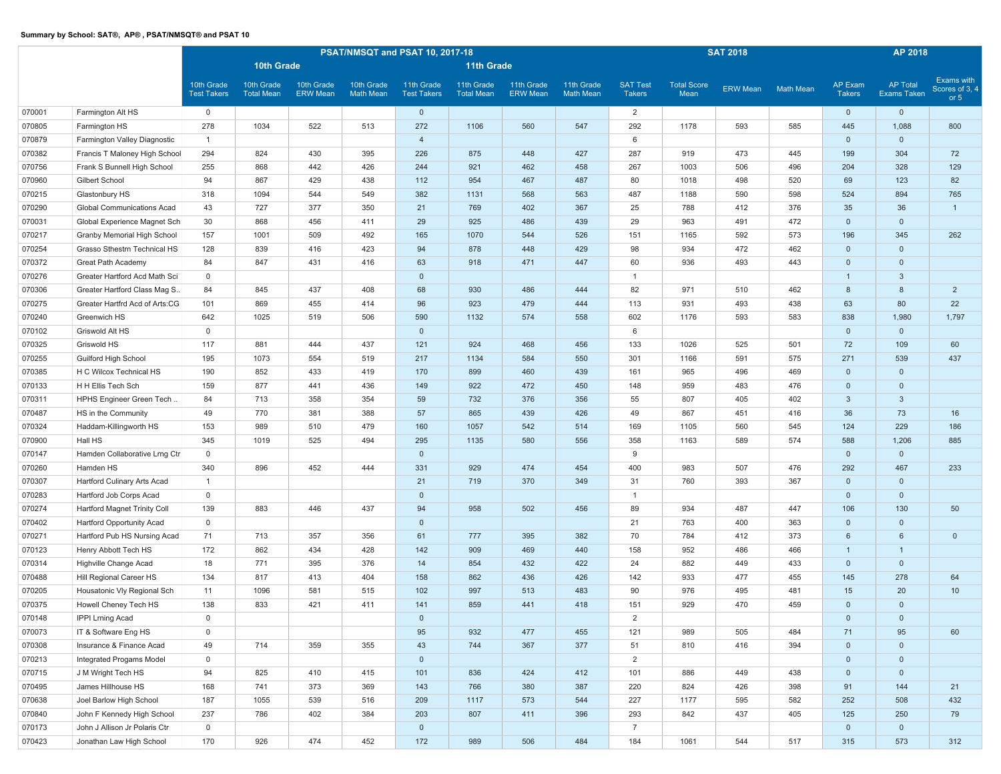|        |                                  |                                  |                                 |                               |                                | PSAT/NMSQT and PSAT 10, 2017-18  |                                 |                               | <b>SAT 2018</b>                |                                  | AP 2018                    |                 |                  |                          |                                |                                        |
|--------|----------------------------------|----------------------------------|---------------------------------|-------------------------------|--------------------------------|----------------------------------|---------------------------------|-------------------------------|--------------------------------|----------------------------------|----------------------------|-----------------|------------------|--------------------------|--------------------------------|----------------------------------------|
|        |                                  |                                  | 10th Grade                      |                               |                                |                                  | <b>11th Grade</b>               |                               |                                |                                  |                            |                 |                  |                          |                                |                                        |
|        |                                  | 10th Grade<br><b>Test Takers</b> | 10th Grade<br><b>Total Mean</b> | 10th Grade<br><b>ERW Mean</b> | 10th Grade<br><b>Math Mean</b> | 11th Grade<br><b>Test Takers</b> | 11th Grade<br><b>Total Mean</b> | 11th Grade<br><b>ERW Mean</b> | 11th Grade<br><b>Math Mean</b> | <b>SAT Test</b><br><b>Takers</b> | <b>Total Score</b><br>Mean | <b>ERW Mean</b> | <b>Math Mean</b> | AP Exam<br><b>Takers</b> | <b>AP Total</b><br>Exams Taken | Exams with<br>Scores of 3, 4<br>or $5$ |
| 070001 | Farmington Alt HS                | $\mathbf 0$                      |                                 |                               |                                | $\mathbf 0$                      |                                 |                               |                                | $\overline{2}$                   |                            |                 |                  | $\mathbf 0$              | $\mathbf 0$                    |                                        |
| 070805 | Farmington HS                    | 278                              | 1034                            | 522                           | 513                            | 272                              | 1106                            | 560                           | 547                            | 292                              | 1178                       | 593             | 585              | 445                      | 1,088                          | 800                                    |
| 070879 | Farmington Valley Diagnostic     | $\mathbf{1}$                     |                                 |                               |                                | $\overline{4}$                   |                                 |                               |                                | 6                                |                            |                 |                  | $\mathbf 0$              | $\mathbf 0$                    |                                        |
| 070382 | Francis T Maloney High School    | 294                              | 824                             | 430                           | 395                            | 226                              | 875                             | 448                           | 427                            | 287                              | 919                        | 473             | 445              | 199                      | 304                            | 72                                     |
| 070756 | Frank S Bunnell High School      | 255                              | 868                             | 442                           | 426                            | 244                              | 921                             | 462                           | 458                            | 267                              | 1003                       | 506             | 496              | 204                      | 328                            | 129                                    |
| 070960 | Gilbert School                   | 94                               | 867                             | 429                           | 438                            | 112                              | 954                             | 467                           | 487                            | 80                               | 1018                       | 498             | 520              | 69                       | 123                            | 82                                     |
| 070215 | Glastonbury HS                   | 318                              | 1094                            | 544                           | 549                            | 382                              | 1131                            | 568                           | 563                            | 487                              | 1188                       | 590             | 598              | 524                      | 894                            | 765                                    |
| 070290 | Global Communications Acad       | 43                               | 727                             | 377                           | 350                            | 21                               | 769                             | 402                           | 367                            | 25                               | 788                        | 412             | 376              | 35                       | 36                             | $\mathbf{1}$                           |
| 070031 | Global Experience Magnet Sch     | 30                               | 868                             | 456                           | 411                            | 29                               | 925                             | 486                           | 439                            | 29                               | 963                        | 491             | 472              | $\mathbf 0$              | $\mathbf 0$                    |                                        |
| 070217 | Granby Memorial High School      | 157                              | 1001                            | 509                           | 492                            | 165                              | 1070                            | 544                           | 526                            | 151                              | 1165                       | 592             | 573              | 196                      | 345                            | 262                                    |
| 070254 | Grasso Sthestrn Technical HS     | 128                              | 839                             | 416                           | 423                            | 94                               | 878                             | 448                           | 429                            | 98                               | 934                        | 472             | 462              | $\mathbf{0}$             | $\mathbf 0$                    |                                        |
| 070372 | Great Path Academy               | 84                               | 847                             | 431                           | 416                            | 63                               | 918                             | 471                           | 447                            | 60                               | 936                        | 493             | 443              | $\mathbf 0$              | $\mathbf 0$                    |                                        |
| 070276 | Greater Hartford Acd Math Sci    | $\mathbf 0$                      |                                 |                               |                                | $\mathbf 0$                      |                                 |                               |                                | $\overline{1}$                   |                            |                 |                  | $\mathbf{1}$             | $\mathbf{3}$                   |                                        |
| 070306 | Greater Hartford Class Mag S.    | 84                               | 845                             | 437                           | 408                            | 68                               | 930                             | 486                           | 444                            | 82                               | 971                        | 510             | 462              | 8                        | 8                              | $\overline{2}$                         |
| 070275 | Greater Hartfrd Acd of Arts:CG   | 101                              | 869                             | 455                           | 414                            | 96                               | 923                             | 479                           | 444                            | 113                              | 931                        | 493             | 438              | 63                       | 80                             | 22                                     |
| 070240 | Greenwich HS                     | 642                              | 1025                            | 519                           | 506                            | 590                              | 1132                            | 574                           | 558                            | 602                              | 1176                       | 593             | 583              | 838                      | 1,980                          | 1,797                                  |
| 070102 | Griswold Alt HS                  | $\mathbf 0$                      |                                 |                               |                                | $\mathbf 0$                      |                                 |                               |                                | 6                                |                            |                 |                  | $\mathbf 0$              | $\mathbf 0$                    |                                        |
| 070325 | Griswold HS                      | 117                              | 881                             | 444                           | 437                            | 121                              | 924                             | 468                           | 456                            | 133                              | 1026                       | 525             | 501              | 72                       | 109                            | 60                                     |
| 070255 | Guilford High School             | 195                              | 1073                            | 554                           | 519                            | 217                              | 1134                            | 584                           | 550                            | 301                              | 1166                       | 591             | 575              | 271                      | 539                            | 437                                    |
| 070385 | H C Wilcox Technical HS          | 190                              | 852                             | 433                           | 419                            | 170                              | 899                             | 460                           | 439                            | 161                              | 965                        | 496             | 469              | $\Omega$                 | $\mathbf 0$                    |                                        |
| 070133 | H H Ellis Tech Sch               | 159                              | 877                             | 441                           | 436                            | 149                              | 922                             | 472                           | 450                            | 148                              | 959                        | 483             | 476              | $\mathbf 0$              | $\mathbf 0$                    |                                        |
| 070311 | HPHS Engineer Green Tech.        | 84                               | 713                             | 358                           | 354                            | 59                               | 732                             | 376                           | 356                            | 55                               | 807                        | 405             | 402              | 3                        | $\mathbf{3}$                   |                                        |
| 070487 | HS in the Community              | 49                               | 770                             | 381                           | 388                            | 57                               | 865                             | 439                           | 426                            | 49                               | 867                        | 451             | 416              | 36                       | 73                             | 16                                     |
| 070324 | Haddam-Killingworth HS           | 153                              | 989                             | 510                           | 479                            | 160                              | 1057                            | 542                           | 514                            | 169                              | 1105                       | 560             | 545              | 124                      | 229                            | 186                                    |
| 070900 | Hall HS                          | 345                              | 1019                            | 525                           | 494                            | 295                              | 1135                            | 580                           | 556                            | 358                              | 1163                       | 589             | 574              | 588                      | 1,206                          | 885                                    |
| 070147 | Hamden Collaborative Lrng Ctr    | $\mathbf 0$                      |                                 |                               |                                | $\mathbf 0$                      |                                 |                               |                                | 9                                |                            |                 |                  | $\mathbf{0}$             | $\mathbf 0$                    |                                        |
| 070260 | Hamden HS                        | 340                              | 896                             | 452                           | 444                            | 331                              | 929                             | 474                           | 454                            | 400                              | 983                        | 507             | 476              | 292                      | 467                            | 233                                    |
| 070307 | Hartford Culinary Arts Acad      | $\mathbf{1}$                     |                                 |                               |                                | 21                               | 719                             | 370                           | 349                            | 31                               | 760                        | 393             | 367              | $\mathbf 0$              | $\mathbf 0$                    |                                        |
| 070283 | Hartford Job Corps Acad          | $\mathbf 0$                      |                                 |                               |                                | $\mathbf{0}$                     |                                 |                               |                                | $\overline{1}$                   |                            |                 |                  | $\mathbf{0}$             | $\mathbf{0}$                   |                                        |
| 070274 | Hartford Magnet Trinity Coll     | 139                              | 883                             | 446                           | 437                            | 94                               | 958                             | 502                           | 456                            | 89                               | 934                        | 487             | 447              | 106                      | 130                            | 50                                     |
| 070402 | <b>Hartford Opportunity Acad</b> | $\mathbf 0$                      |                                 |                               |                                | $\mathbf 0$                      |                                 |                               |                                | 21                               | 763                        | 400             | 363              | $\mathbf 0$              | $\mathbf 0$                    |                                        |
| 070271 | Hartford Pub HS Nursing Acad     | 71                               | 713                             | 357                           | 356                            | 61                               | 777                             | 395                           | 382                            | 70                               | 784                        | 412             | 373              | 6                        | $6\phantom{1}$                 | $\mathbf 0$                            |
| 070123 | Henry Abbott Tech HS             | 172                              | 862                             | 434                           | 428                            | 142                              | 909                             | 469                           | 440                            | 158                              | 952                        | 486             | 466              | $\mathbf{1}$             | $\overline{1}$                 |                                        |
| 070314 | Highville Change Acad            | 18                               | 771                             | 395                           | 376                            | 14                               | 854                             | 432                           | 422                            | 24                               | 882                        | 449             | 433              | $\mathbf{0}$             | $\mathbf 0$                    |                                        |
| 070488 | Hill Regional Career HS          | 134                              | 817                             | 413                           | 404                            | 158                              | 862                             | 436                           | 426                            | 142                              | 933                        | 477             | 455              | 145                      | 278                            | 64                                     |
| 070205 | Housatonic Vly Regional Sch      | 11                               | 1096                            | 581                           | 515                            | 102                              | 997                             | 513                           | 483                            | 90                               | 976                        | 495             | 481              | 15                       | 20                             | 10                                     |
| 070375 | Howell Cheney Tech HS            | 138                              | 833                             | 421                           | 411                            | 141                              | 859                             | 441                           | 418                            | 151                              | 929                        | 470             | 459              | $\mathbf{0}$             | $\mathbf 0$                    |                                        |
| 070148 | IPPI Lrning Acad                 | $\mathsf{O}\xspace$              |                                 |                               |                                | $\mathbf 0$                      |                                 |                               |                                | $\overline{2}$                   |                            |                 |                  | $\mathbf 0$              | $\mathbf 0$                    |                                        |
| 070073 | IT & Software Eng HS             | $\mathsf 0$                      |                                 |                               |                                | 95                               | 932                             | 477                           | 455                            | 121                              | 989                        | 505             | 484              | 71                       | 95                             | 60                                     |
| 070308 | Insurance & Finance Acad         | 49                               | 714                             | 359                           | 355                            | 43                               | 744                             | 367                           | 377                            | 51                               | 810                        | 416             | 394              | $\mathsf{O}\xspace$      | $\mathsf{O}\xspace$            |                                        |
| 070213 | Integrated Progams Model         | $\mathsf 0$                      |                                 |                               |                                | $\mathbf 0$                      |                                 |                               |                                | 2                                |                            |                 |                  | $\overline{0}$           | $\mathbf{0}$                   |                                        |
| 070715 | J M Wright Tech HS               | 94                               | 825                             | 410                           | 415                            | 101                              | 836                             | 424                           | 412                            | 101                              | 886                        | 449             | 438              | $\mathbf{0}$             | $\overline{0}$                 |                                        |
| 070495 | James Hillhouse HS               | 168                              | 741                             | 373                           | 369                            | 143                              | 766                             | 380                           | 387                            | 220                              | 824                        | 426             | 398              | 91                       | 144                            | 21                                     |
| 070638 | Joel Barlow High School          | 187                              | 1055                            | 539                           | 516                            | 209                              | 1117                            | 573                           | 544                            | 227                              | 1177                       | 595             | 582              | 252                      | 508                            | 432                                    |
| 070840 | John F Kennedy High School       | 237                              | 786                             | 402                           | 384                            | 203                              | 807                             | 411                           | 396                            | 293                              | 842                        | 437             | 405              | 125                      | 250                            | 79                                     |
| 070173 | John J Allison Jr Polaris Ctr    | $\mathsf{O}\xspace$              |                                 |                               |                                | $\mathsf{O}\xspace$              |                                 |                               |                                | $\overline{7}$                   |                            |                 |                  | $\overline{0}$           | $\mathbf{0}$                   |                                        |
| 070423 | Jonathan Law High School         | 170                              | 926                             | 474                           | 452                            | 172                              | 989                             | 506                           | 484                            | 184                              | 1061                       | 544             | 517              | 315                      | 573                            | 312                                    |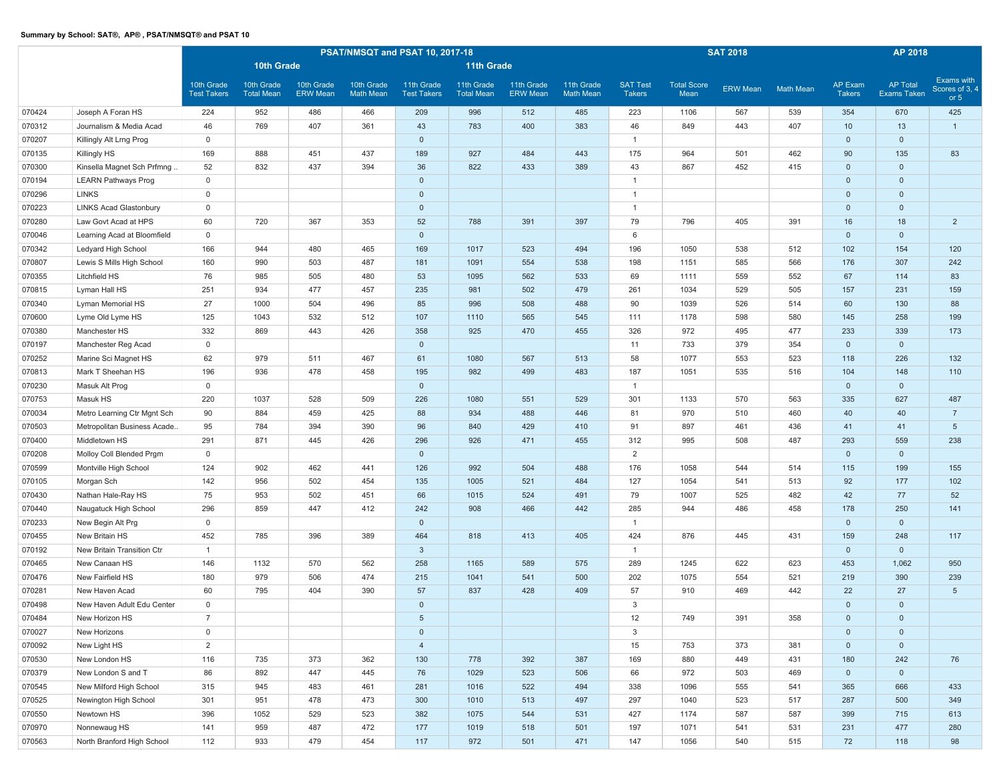|        |                               |                                  |                                 |                               | PSAT/NMSQT and PSAT 10, 2017-18 |                                  |                                 |                               | <b>SAT 2018</b>                |                                  | AP 2018                    |                 |                  |                          |                                |                                        |
|--------|-------------------------------|----------------------------------|---------------------------------|-------------------------------|---------------------------------|----------------------------------|---------------------------------|-------------------------------|--------------------------------|----------------------------------|----------------------------|-----------------|------------------|--------------------------|--------------------------------|----------------------------------------|
|        |                               |                                  | 10th Grade                      |                               |                                 |                                  | <b>11th Grade</b>               |                               |                                |                                  |                            |                 |                  |                          |                                |                                        |
|        |                               | 10th Grade<br><b>Test Takers</b> | 10th Grade<br><b>Total Mean</b> | 10th Grade<br><b>ERW Mean</b> | 10th Grade<br><b>Math Mean</b>  | 11th Grade<br><b>Test Takers</b> | 11th Grade<br><b>Total Mean</b> | 11th Grade<br><b>ERW Mean</b> | 11th Grade<br><b>Math Mean</b> | <b>SAT Test</b><br><b>Takers</b> | <b>Total Score</b><br>Mean | <b>ERW Mean</b> | <b>Math Mean</b> | AP Exam<br><b>Takers</b> | <b>AP Total</b><br>Exams Taken | Exams with<br>Scores of 3, 4<br>or $5$ |
| 070424 | Joseph A Foran HS             | 224                              | 952                             | 486                           | 466                             | 209                              | 996                             | 512                           | 485                            | 223                              | 1106                       | 567             | 539              | 354                      | 670                            | 425                                    |
| 070312 | Journalism & Media Acad       | 46                               | 769                             | 407                           | 361                             | 43                               | 783                             | 400                           | 383                            | 46                               | 849                        | 443             | 407              | 10                       | 13                             | 1                                      |
| 070207 | Killingly Alt Lrng Prog       | $\mathbf{0}$                     |                                 |                               |                                 | $\mathbf 0$                      |                                 |                               |                                | $\overline{1}$                   |                            |                 |                  | $\mathbf{0}$             | $\mathbf 0$                    |                                        |
| 070135 | Killingly HS                  | 169                              | 888                             | 451                           | 437                             | 189                              | 927                             | 484                           | 443                            | 175                              | 964                        | 501             | 462              | 90                       | 135                            | 83                                     |
| 070300 | Kinsella Magnet Sch Prfmng    | 52                               | 832                             | 437                           | 394                             | 36                               | 822                             | 433                           | 389                            | 43                               | 867                        | 452             | 415              | $\mathbf 0$              | $\mathbf 0$                    |                                        |
| 070194 | <b>LEARN Pathways Prog</b>    | $\mathbb O$                      |                                 |                               |                                 | $\mathbf 0$                      |                                 |                               |                                | $\overline{1}$                   |                            |                 |                  | $\mathbf 0$              | $\mathbf 0$                    |                                        |
| 070296 | <b>LINKS</b>                  | $\mathbb O$                      |                                 |                               |                                 | $\mathbf{0}$                     |                                 |                               |                                | $\overline{1}$                   |                            |                 |                  | $\mathbf 0$              | $\mathbf 0$                    |                                        |
| 070223 | <b>LINKS Acad Glastonbury</b> | $\mathbf 0$                      |                                 |                               |                                 | $\mathbf 0$                      |                                 |                               |                                | $\overline{1}$                   |                            |                 |                  | $\mathbf 0$              | $\mathbf 0$                    |                                        |
| 070280 | Law Govt Acad at HPS          | 60                               | 720                             | 367                           | 353                             | 52                               | 788                             | 391                           | 397                            | 79                               | 796                        | 405             | 391              | 16                       | 18                             | $\overline{2}$                         |
| 070046 | Learning Acad at Bloomfield   | $\mathbf 0$                      |                                 |                               |                                 | $\mathbf 0$                      |                                 |                               |                                | 6                                |                            |                 |                  | $\mathbf 0$              | $\mathbf 0$                    |                                        |
| 070342 | Ledyard High School           | 166                              | 944                             | 480                           | 465                             | 169                              | 1017                            | 523                           | 494                            | 196                              | 1050                       | 538             | 512              | 102                      | 154                            | 120                                    |
| 070807 | Lewis S Mills High School     | 160                              | 990                             | 503                           | 487                             | 181                              | 1091                            | 554                           | 538                            | 198                              | 1151                       | 585             | 566              | 176                      | 307                            | 242                                    |
| 070355 | Litchfield HS                 | 76                               | 985                             | 505                           | 480                             | 53                               | 1095                            | 562                           | 533                            | 69                               | 1111                       | 559             | 552              | 67                       | 114                            | 83                                     |
| 070815 | Lyman Hall HS                 | 251                              | 934                             | 477                           | 457                             | 235                              | 981                             | 502                           | 479                            | 261                              | 1034                       | 529             | 505              | 157                      | 231                            | 159                                    |
| 070340 | Lyman Memorial HS             | 27                               | 1000                            | 504                           | 496                             | 85                               | 996                             | 508                           | 488                            | 90                               | 1039                       | 526             | 514              | 60                       | 130                            | 88                                     |
| 070600 | Lyme Old Lyme HS              | 125                              | 1043                            | 532                           | 512                             | 107                              | 1110                            | 565                           | 545                            | 111                              | 1178                       | 598             | 580              | 145                      | 258                            | 199                                    |
| 070380 | Manchester HS                 | 332                              | 869                             | 443                           | 426                             | 358                              | 925                             | 470                           | 455                            | 326                              | 972                        | 495             | 477              | 233                      | 339                            | 173                                    |
| 070197 | Manchester Reg Acad           | $\mathbf 0$                      |                                 |                               |                                 | $\mathbf 0$                      |                                 |                               |                                | 11                               | 733                        | 379             | 354              | $\mathbf 0$              | $\mathbf 0$                    |                                        |
| 070252 | Marine Sci Magnet HS          | 62                               | 979                             | 511                           | 467                             | 61                               | 1080                            | 567                           | 513                            | 58                               | 1077                       | 553             | 523              | 118                      | 226                            | 132                                    |
| 070813 | Mark T Sheehan HS             | 196                              | 936                             | 478                           | 458                             | 195                              | 982                             | 499                           | 483                            | 187                              | 1051                       | 535             | 516              | 104                      | 148                            | 110                                    |
| 070230 | Masuk Alt Prog                | $\mathbf 0$                      |                                 |                               |                                 | $\mathbf{0}$                     |                                 |                               |                                | $\overline{1}$                   |                            |                 |                  | $\mathbf 0$              | $\mathbf 0$                    |                                        |
| 070753 | Masuk HS                      | 220                              | 1037                            | 528                           | 509                             | 226                              | 1080                            | 551                           | 529                            | 301                              | 1133                       | 570             | 563              | 335                      | 627                            | 487                                    |
| 070034 | Metro Learning Ctr Mgnt Sch   | 90                               | 884                             | 459                           | 425                             | 88                               | 934                             | 488                           | 446                            | 81                               | 970                        | 510             | 460              | 40                       | 40                             | $\overline{7}$                         |
| 070503 | Metropolitan Business Acade   | 95                               | 784                             | 394                           | 390                             | 96                               | 840                             | 429                           | 410                            | 91                               | 897                        | 461             | 436              | 41                       | 41                             | $5\overline{)}$                        |
| 070400 | Middletown HS                 | 291                              | 871                             | 445                           | 426                             | 296                              | 926                             | 471                           | 455                            | 312                              | 995                        | 508             | 487              | 293                      | 559                            | 238                                    |
| 070208 | Molloy Coll Blended Prgm      | $\mathbf 0$                      |                                 |                               |                                 | $\mathbf{0}$                     |                                 |                               |                                | $\overline{2}$                   |                            |                 |                  | $\mathbf{0}$             | $\mathbf 0$                    |                                        |
| 070599 | Montville High School         | 124                              | 902                             | 462                           | 441                             | 126                              | 992                             | 504                           | 488                            | 176                              | 1058                       | 544             | 514              | 115                      | 199                            | 155                                    |
| 070105 | Morgan Sch                    | 142                              | 956                             | 502                           | 454                             | 135                              | 1005                            | 521                           | 484                            | 127                              | 1054                       | 541             | 513              | 92                       | 177                            | 102                                    |
| 070430 | Nathan Hale-Ray HS            | 75                               | 953                             | 502                           | 451                             | 66                               | 1015                            | 524                           | 491                            | 79                               | 1007                       | 525             | 482              | 42                       | 77                             | 52                                     |
| 070440 | Naugatuck High School         | 296                              | 859                             | 447                           | 412                             | 242                              | 908                             | 466                           | 442                            | 285                              | 944                        | 486             | 458              | 178                      | 250                            | 141                                    |
| 070233 | New Begin Alt Prg             | $\mathbf 0$                      |                                 |                               |                                 | $\mathbf 0$                      |                                 |                               |                                | $\overline{1}$                   |                            |                 |                  | $\mathbf 0$              | $\mathbf 0$                    |                                        |
| 070455 | New Britain HS                | 452                              | 785                             | 396                           | 389                             | 464                              | 818                             | 413                           | 405                            | 424                              | 876                        | 445             | 431              | 159                      | 248                            | 117                                    |
| 070192 | New Britain Transition Ctr    | $\overline{1}$                   |                                 |                               |                                 | $\mathbf{3}$                     |                                 |                               |                                | $\overline{1}$                   |                            |                 |                  | $\mathbf 0$              | $\mathbf 0$                    |                                        |
| 070465 | New Canaan HS                 | 146                              | 1132                            | 570                           | 562                             | 258                              | 1165                            | 589                           | 575                            | 289                              | 1245                       | 622             | 623              | 453                      | 1,062                          | 950                                    |
| 070476 | New Fairfield HS              | 180                              | 979                             | 506                           | 474                             | 215                              | 1041                            | 541                           | 500                            | 202                              | 1075                       | 554             | 521              | 219                      | 390                            | 239                                    |
| 070281 | New Haven Acad                | 60                               | 795                             | 404                           | 390                             | 57                               | 837                             | 428                           | 409                            | 57                               | 910                        | 469             | 442              | 22                       | 27                             | 5 <sup>5</sup>                         |
| 070498 | New Haven Adult Edu Center    | $\mathbf 0$                      |                                 |                               |                                 | $\mathbf 0$                      |                                 |                               |                                | 3                                |                            |                 |                  | $\mathbf 0$              | $\mathbf 0$                    |                                        |
| 070484 | New Horizon HS                | $\overline{7}$                   |                                 |                               |                                 | $5\phantom{.0}$                  |                                 |                               |                                | 12                               | 749                        | 391             | 358              | $\mathbf 0$              | $\mathbf 0$                    |                                        |
| 070027 | New Horizons                  | $\mathbb O$                      |                                 |                               |                                 | $\mathbf 0$                      |                                 |                               |                                | $\mathbf{3}$                     |                            |                 |                  | $\mathbf 0$              | $\mathbf{0}$                   |                                        |
| 070092 | New Light HS                  | $\overline{2}$                   |                                 |                               |                                 | $\overline{4}$                   |                                 |                               |                                | 15                               | 753                        | 373             | 381              | $\mathsf{O}\xspace$      | $\mathsf{O}\xspace$            |                                        |
| 070530 | New London HS                 | 116                              | 735                             | 373                           | 362                             | 130                              | 778                             | 392                           | 387                            | 169                              | 880                        | 449             | 431              | 180                      | 242                            | 76                                     |
| 070379 | New London S and T            | 86                               | 892                             | 447                           | 445                             | 76                               | 1029                            | 523                           | 506                            | 66                               | 972                        | 503             | 469              | $\mathbf{0}$             | $\mathbf{0}$                   |                                        |
| 070545 | New Milford High School       | 315                              | 945                             | 483                           | 461                             | 281                              | 1016                            | 522                           | 494                            | 338                              | 1096                       | 555             | 541              | 365                      | 666                            | 433                                    |
| 070525 | Newington High School         | 301                              | 951                             | 478                           | 473                             | 300                              | 1010                            | 513                           | 497                            | 297                              | 1040                       | 523             | 517              | 287                      | 500                            | 349                                    |
| 070550 | Newtown HS                    | 396                              | 1052                            | 529                           | 523                             | 382                              | 1075                            | 544                           | 531                            | 427                              | 1174                       | 587             | 587              | 399                      | 715                            | 613                                    |
| 070970 | Nonnewaug HS                  | 141                              | 959                             | 487                           | 472                             | 177                              | 1019                            | 518                           | 501                            | 197                              | 1071                       | 541             | 531              | 231                      | 477                            | 280                                    |
| 070563 | North Branford High School    | 112                              | 933                             | 479                           | 454                             | 117                              | 972                             | 501                           | 471                            | 147                              | 1056                       | 540             | 515              | 72                       | 118                            | 98                                     |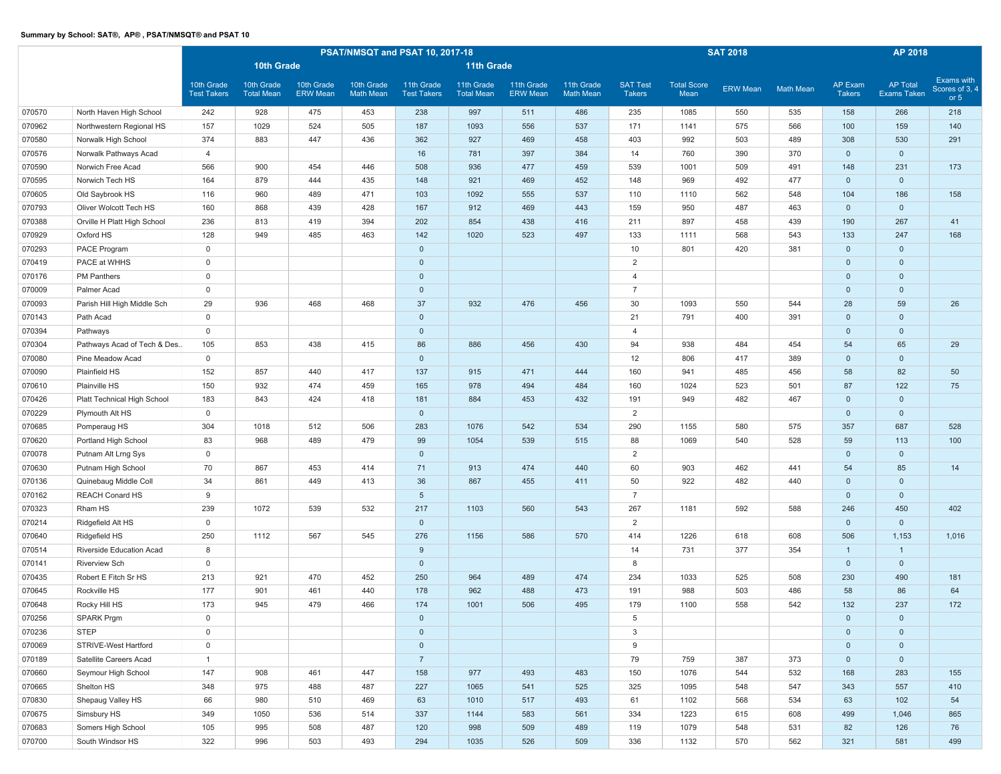|        |                              |                                  |                                 |                               |                                | PSAT/NMSQT and PSAT 10, 2017-18  |                                 |                               | <b>SAT 2018</b>                |                                  | AP 2018                    |                 |                  |                          |                                |                                        |
|--------|------------------------------|----------------------------------|---------------------------------|-------------------------------|--------------------------------|----------------------------------|---------------------------------|-------------------------------|--------------------------------|----------------------------------|----------------------------|-----------------|------------------|--------------------------|--------------------------------|----------------------------------------|
|        |                              |                                  | 10th Grade                      |                               |                                |                                  | 11th Grade                      |                               |                                |                                  |                            |                 |                  |                          |                                |                                        |
|        |                              | 10th Grade<br><b>Test Takers</b> | 10th Grade<br><b>Total Mean</b> | 10th Grade<br><b>ERW Mean</b> | 10th Grade<br><b>Math Mean</b> | 11th Grade<br><b>Test Takers</b> | 11th Grade<br><b>Total Mean</b> | 11th Grade<br><b>ERW Mean</b> | 11th Grade<br><b>Math Mean</b> | <b>SAT Test</b><br><b>Takers</b> | <b>Total Score</b><br>Mean | <b>ERW Mean</b> | <b>Math Mean</b> | AP Exam<br><b>Takers</b> | <b>AP Total</b><br>Exams Taken | Exams with<br>Scores of 3, 4<br>or $5$ |
| 070570 | North Haven High School      | 242                              | 928                             | 475                           | 453                            | 238                              | 997                             | 511                           | 486                            | 235                              | 1085                       | 550             | 535              | 158                      | 266                            | 218                                    |
| 070962 | Northwestern Regional HS     | 157                              | 1029                            | 524                           | 505                            | 187                              | 1093                            | 556                           | 537                            | 171                              | 1141                       | 575             | 566              | 100                      | 159                            | 140                                    |
| 070580 | Norwalk High School          | 374                              | 883                             | 447                           | 436                            | 362                              | 927                             | 469                           | 458                            | 403                              | 992                        | 503             | 489              | 308                      | 530                            | 291                                    |
| 070576 | Norwalk Pathways Acad        | 4                                |                                 |                               |                                | 16                               | 781                             | 397                           | 384                            | 14                               | 760                        | 390             | 370              | $\mathbf 0$              | $\mathbf 0$                    |                                        |
| 070590 | Norwich Free Acad            | 566                              | 900                             | 454                           | 446                            | 508                              | 936                             | 477                           | 459                            | 539                              | 1001                       | 509             | 491              | 148                      | 231                            | 173                                    |
| 070595 | Norwich Tech HS              | 164                              | 879                             | 444                           | 435                            | 148                              | 921                             | 469                           | 452                            | 148                              | 969                        | 492             | 477              | $\mathbf 0$              | $\mathbf 0$                    |                                        |
| 070605 | Old Saybrook HS              | 116                              | 960                             | 489                           | 471                            | 103                              | 1092                            | 555                           | 537                            | 110                              | 1110                       | 562             | 548              | 104                      | 186                            | 158                                    |
| 070793 | Oliver Wolcott Tech HS       | 160                              | 868                             | 439                           | 428                            | 167                              | 912                             | 469                           | 443                            | 159                              | 950                        | 487             | 463              | $\mathbf 0$              | $\overline{0}$                 |                                        |
| 070388 | Orville H Platt High School  | 236                              | 813                             | 419                           | 394                            | 202                              | 854                             | 438                           | 416                            | 211                              | 897                        | 458             | 439              | 190                      | 267                            | 41                                     |
| 070929 | Oxford HS                    | 128                              | 949                             | 485                           | 463                            | 142                              | 1020                            | 523                           | 497                            | 133                              | 1111                       | 568             | 543              | 133                      | 247                            | 168                                    |
| 070293 | PACE Program                 | $\mathsf{O}\xspace$              |                                 |                               |                                | $\mathbf 0$                      |                                 |                               |                                | 10                               | 801                        | 420             | 381              | $\mathbf 0$              | $\mathbf 0$                    |                                        |
| 070419 | PACE at WHHS                 | $\mathbf 0$                      |                                 |                               |                                | $\mathbf 0$                      |                                 |                               |                                | $\overline{2}$                   |                            |                 |                  | $\mathbf 0$              | $\mathbf 0$                    |                                        |
| 070176 | PM Panthers                  | $\mathbf 0$                      |                                 |                               |                                | $\mathbf 0$                      |                                 |                               |                                | $\overline{4}$                   |                            |                 |                  | $\mathbf 0$              | $\mathbf 0$                    |                                        |
| 070009 | Palmer Acad                  | $\mathbf 0$                      |                                 |                               |                                | $\mathbf 0$                      |                                 |                               |                                | $\overline{7}$                   |                            |                 |                  | $\mathbf 0$              | $\mathbf 0$                    |                                        |
| 070093 | Parish Hill High Middle Sch  | 29                               | 936                             | 468                           | 468                            | 37                               | 932                             | 476                           | 456                            | 30                               | 1093                       | 550             | 544              | 28                       | 59                             | 26                                     |
| 070143 | Path Acad                    | $\mathbf 0$                      |                                 |                               |                                | $\mathbf 0$                      |                                 |                               |                                | 21                               | 791                        | 400             | 391              | $\mathbf{0}$             | $\mathbf 0$                    |                                        |
| 070394 | Pathways                     | $\mathbf 0$                      |                                 |                               |                                | $\mathbf 0$                      |                                 |                               |                                | $\overline{4}$                   |                            |                 |                  | $\mathbf 0$              | $\mathbf 0$                    |                                        |
| 070304 | Pathways Acad of Tech & Des. | 105                              | 853                             | 438                           | 415                            | 86                               | 886                             | 456                           | 430                            | 94                               | 938                        | 484             | 454              | 54                       | 65                             | 29                                     |
| 070080 | Pine Meadow Acad             | $\mathbf 0$                      |                                 |                               |                                | $\mathbf 0$                      |                                 |                               |                                | 12                               | 806                        | 417             | 389              | $\mathbf 0$              | $\mathbf 0$                    |                                        |
| 070090 | Plainfield HS                | 152                              | 857                             | 440                           | 417                            | 137                              | 915                             | 471                           | 444                            | 160                              | 941                        | 485             | 456              | 58                       | 82                             | 50                                     |
| 070610 | Plainville HS                | 150                              | 932                             | 474                           | 459                            | 165                              | 978                             | 494                           | 484                            | 160                              | 1024                       | 523             | 501              | 87                       | 122                            | 75                                     |
| 070426 | Platt Technical High School  | 183                              | 843                             | 424                           | 418                            | 181                              | 884                             | 453                           | 432                            | 191                              | 949                        | 482             | 467              | $\mathbf 0$              | $\mathbf 0$                    |                                        |
| 070229 | Plymouth Alt HS              | $\mathsf{O}\xspace$              |                                 |                               |                                | $\mathbf 0$                      |                                 |                               |                                | $\overline{2}$                   |                            |                 |                  | $\mathbf 0$              | $\mathbb O$                    |                                        |
| 070685 | Pomperaug HS                 | 304                              | 1018                            | 512                           | 506                            | 283                              | 1076                            | 542                           | 534                            | 290                              | 1155                       | 580             | 575              | 357                      | 687                            | 528                                    |
| 070620 | Portland High School         | 83                               | 968                             | 489                           | 479                            | 99                               | 1054                            | 539                           | 515                            | 88                               | 1069                       | 540             | 528              | 59                       | 113                            | 100                                    |
| 070078 | Putnam Alt Lrng Sys          | $\mathbf 0$                      |                                 |                               |                                | $\mathbf 0$                      |                                 |                               |                                | $\overline{2}$                   |                            |                 |                  | $\mathbf{0}$             | $\mathbf 0$                    |                                        |
| 070630 | Putnam High School           | 70                               | 867                             | 453                           | 414                            | 71                               | 913                             | 474                           | 440                            | 60                               | 903                        | 462             | 441              | 54                       | 85                             | 14                                     |
| 070136 | Quinebaug Middle Coll        | 34                               | 861                             | 449                           | 413                            | 36                               | 867                             | 455                           | 411                            | 50                               | 922                        | 482             | 440              | $\mathbf 0$              | $\mathbf 0$                    |                                        |
| 070162 | <b>REACH Conard HS</b>       | 9                                |                                 |                               |                                | $5\phantom{.0}$                  |                                 |                               |                                | $\overline{7}$                   |                            |                 |                  | $\mathbf{0}$             | $\mathbf 0$                    |                                        |
| 070323 | Rham HS                      | 239                              | 1072                            | 539                           | 532                            | 217                              | 1103                            | 560                           | 543                            | 267                              | 1181                       | 592             | 588              | 246                      | 450                            | 402                                    |
| 070214 | Ridgefield Alt HS            | $\mathbf 0$                      |                                 |                               |                                | $\mathbf 0$                      |                                 |                               |                                | 2                                |                            |                 |                  | $\mathbf 0$              | $\mathbf 0$                    |                                        |
| 070640 | Ridgefield HS                | 250                              | 1112                            | 567                           | 545                            | 276                              | 1156                            | 586                           | 570                            | 414                              | 1226                       | 618             | 608              | 506                      | 1,153                          | 1,016                                  |
| 070514 | Riverside Education Acad     | 8                                |                                 |                               |                                | 9                                |                                 |                               |                                | 14                               | 731                        | 377             | 354              | $\mathbf{1}$             | $\mathbf{1}$                   |                                        |
| 070141 | <b>Riverview Sch</b>         | $\mathbf 0$                      |                                 |                               |                                | $\mathbf 0$                      |                                 |                               |                                | 8                                |                            |                 |                  | $\mathbf 0$              | $\mathbf 0$                    |                                        |
| 070435 | Robert E Fitch Sr HS         | 213                              | 921                             | 470                           | 452                            | 250                              | 964                             | 489                           | 474                            | 234                              | 1033                       | 525             | 508              | 230                      | 490                            | 181                                    |
| 070645 | Rockville HS                 | 177                              | 901                             | 461                           | 440                            | 178                              | 962                             | 488                           | 473                            | 191                              | 988                        | 503             | 486              | 58                       | 86                             | 64                                     |
| 070648 | Rocky Hill HS                | 173                              | 945                             | 479                           | 466                            | 174                              | 1001                            | 506                           | 495                            | 179                              | 1100                       | 558             | 542              | 132                      | 237                            | 172                                    |
| 070256 | SPARK Prgm                   | $\mathsf 0$                      |                                 |                               |                                | $\mathsf{O}\xspace$              |                                 |                               |                                | 5                                |                            |                 |                  | $\mathbf 0$              | $\mathbf 0$                    |                                        |
| 070236 | <b>STEP</b>                  | $\mathsf 0$                      |                                 |                               |                                | $\mathsf{O}\xspace$              |                                 |                               |                                | $\mathbf{3}$                     |                            |                 |                  | $\mathbf{0}$             | $\mathbf 0$                    |                                        |
| 070069 | STRIVE-West Hartford         | $\mathsf{O}\xspace$              |                                 |                               |                                | $\mathbf 0$                      |                                 |                               |                                | 9                                |                            |                 |                  | $\mathbf 0$              | $\mathbf 0$                    |                                        |
| 070189 | Satellite Careers Acad       | $\mathbf{1}$                     |                                 |                               |                                | $\overline{7}$                   |                                 |                               |                                | 79                               | 759                        | 387             | 373              | $\overline{0}$           | $\mathbf{0}$                   |                                        |
| 070660 | Seymour High School          | 147                              | 908                             | 461                           | 447                            | 158                              | 977                             | 493                           | 483                            | 150                              | 1076                       | 544             | 532              | 168                      | 283                            | 155                                    |
| 070665 | Shelton HS                   | 348                              | 975                             | 488                           | 487                            | 227                              | 1065                            | 541                           | 525                            | 325                              | 1095                       | 548             | 547              | 343                      | 557                            | 410                                    |
| 070830 | Shepaug Valley HS            | 66                               | 980                             | 510                           | 469                            | 63                               | 1010                            | 517                           | 493                            | 61                               | 1102                       | 568             | 534              | 63                       | 102                            | 54                                     |
| 070675 | Simsbury HS                  | 349                              | 1050                            | 536                           | 514                            | 337                              | 1144                            | 583                           | 561                            | 334                              | 1223                       | 615             | 608              | 499                      | 1,046                          | 865                                    |
| 070683 | Somers High School           | 105                              | 995                             | 508                           | 487                            | 120                              | 998                             | 509                           | 489                            | 119                              | 1079                       | 548             | 531              | 82                       | 126                            | 76                                     |
| 070700 | South Windsor HS             | 322                              | 996                             | 503                           | 493                            | 294                              | 1035                            | 526                           | 509                            | 336                              | 1132                       | 570             | 562              | 321                      | 581                            | 499                                    |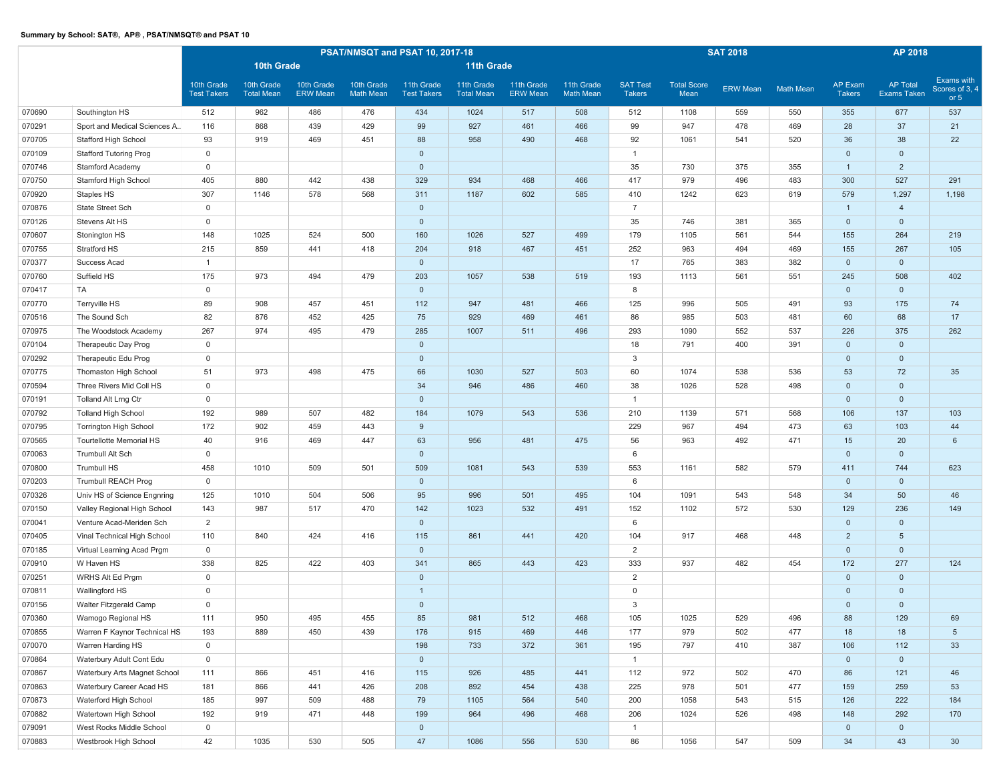|        |                               |                                  |                                 |                               |                                | PSAT/NMSQT and PSAT 10, 2017-18  |                                 |                               | <b>SAT 2018</b>                |                                  | AP 2018                    |                 |                  |                                 |                                |                                        |
|--------|-------------------------------|----------------------------------|---------------------------------|-------------------------------|--------------------------------|----------------------------------|---------------------------------|-------------------------------|--------------------------------|----------------------------------|----------------------------|-----------------|------------------|---------------------------------|--------------------------------|----------------------------------------|
|        |                               |                                  | 10th Grade                      |                               |                                |                                  | 11th Grade                      |                               |                                |                                  |                            |                 |                  |                                 |                                |                                        |
|        |                               | 10th Grade<br><b>Test Takers</b> | 10th Grade<br><b>Total Mean</b> | 10th Grade<br><b>ERW Mean</b> | 10th Grade<br><b>Math Mean</b> | 11th Grade<br><b>Test Takers</b> | 11th Grade<br><b>Total Mean</b> | 11th Grade<br><b>ERW Mean</b> | 11th Grade<br><b>Math Mean</b> | <b>SAT Test</b><br><b>Takers</b> | <b>Total Score</b><br>Mean | <b>ERW Mean</b> | <b>Math Mean</b> | <b>AP Exam</b><br><b>Takers</b> | <b>AP Total</b><br>Exams Taken | Exams with<br>Scores of 3, 4<br>or $5$ |
| 070690 | Southington HS                | 512                              | 962                             | 486                           | 476                            | 434                              | 1024                            | 517                           | 508                            | 512                              | 1108                       | 559             | 550              | 355                             | 677                            | 537                                    |
| 070291 | Sport and Medical Sciences A  | 116                              | 868                             | 439                           | 429                            | 99                               | 927                             | 461                           | 466                            | 99                               | 947                        | 478             | 469              | 28                              | 37                             | 21                                     |
| 070705 | Stafford High School          | 93                               | 919                             | 469                           | 451                            | 88                               | 958                             | 490                           | 468                            | 92                               | 1061                       | 541             | 520              | 36                              | 38                             | 22                                     |
| 070109 | <b>Stafford Tutoring Prog</b> | $\mathsf{O}\xspace$              |                                 |                               |                                | $\mathbf 0$                      |                                 |                               |                                | $\overline{1}$                   |                            |                 |                  | $\mathbf 0$                     | $\mathbf 0$                    |                                        |
| 070746 | <b>Stamford Academy</b>       | $\mathsf{O}\xspace$              |                                 |                               |                                | $\mathbf 0$                      |                                 |                               |                                | 35                               | 730                        | 375             | 355              | $\mathbf{1}$                    | $\overline{2}$                 |                                        |
| 070750 | Stamford High School          | 405                              | 880                             | 442                           | 438                            | 329                              | 934                             | 468                           | 466                            | 417                              | 979                        | 496             | 483              | 300                             | 527                            | 291                                    |
| 070920 | Staples HS                    | 307                              | 1146                            | 578                           | 568                            | 311                              | 1187                            | 602                           | 585                            | 410                              | 1242                       | 623             | 619              | 579                             | 1,297                          | 1,198                                  |
| 070876 | State Street Sch              | $\mathbf 0$                      |                                 |                               |                                | $\mathbf 0$                      |                                 |                               |                                | $\overline{7}$                   |                            |                 |                  | $\mathbf{1}$                    | $\overline{4}$                 |                                        |
| 070126 | Stevens Alt HS                | $\mathbf 0$                      |                                 |                               |                                | $\mathbf 0$                      |                                 |                               |                                | 35                               | 746                        | 381             | 365              | $\mathbf 0$                     | $\mathbf 0$                    |                                        |
| 070607 | Stonington HS                 | 148                              | 1025                            | 524                           | 500                            | 160                              | 1026                            | 527                           | 499                            | 179                              | 1105                       | 561             | 544              | 155                             | 264                            | 219                                    |
| 070755 | Stratford HS                  | 215                              | 859                             | 441                           | 418                            | 204                              | 918                             | 467                           | 451                            | 252                              | 963                        | 494             | 469              | 155                             | 267                            | 105                                    |
| 070377 | Success Acad                  | $\mathbf{1}$                     |                                 |                               |                                | $\mathbf 0$                      |                                 |                               |                                | 17                               | 765                        | 383             | 382              | $\mathbf 0$                     | $\mathbf 0$                    |                                        |
| 070760 | Suffield HS                   | 175                              | 973                             | 494                           | 479                            | 203                              | 1057                            | 538                           | 519                            | 193                              | 1113                       | 561             | 551              | 245                             | 508                            | 402                                    |
| 070417 | TA                            | $\mathbf 0$                      |                                 |                               |                                | $\mathbf{0}$                     |                                 |                               |                                | 8                                |                            |                 |                  | $\mathbf{0}$                    | $\mathbf 0$                    |                                        |
| 070770 | Terryville HS                 | 89                               | 908                             | 457                           | 451                            | 112                              | 947                             | 481                           | 466                            | 125                              | 996                        | 505             | 491              | 93                              | 175                            | 74                                     |
| 070516 | The Sound Sch                 | 82                               | 876                             | 452                           | 425                            | 75                               | 929                             | 469                           | 461                            | 86                               | 985                        | 503             | 481              | 60                              | 68                             | 17                                     |
| 070975 | The Woodstock Academy         | 267                              | 974                             | 495                           | 479                            | 285                              | 1007                            | 511                           | 496                            | 293                              | 1090                       | 552             | 537              | 226                             | 375                            | 262                                    |
| 070104 | Therapeutic Day Prog          | $\mathsf{O}\xspace$              |                                 |                               |                                | $\mathbf 0$                      |                                 |                               |                                | 18                               | 791                        | 400             | 391              | $\mathbf 0$                     | $\mathbf 0$                    |                                        |
| 070292 | Therapeutic Edu Prog          | $\mathbf 0$                      |                                 |                               |                                | $\mathbf 0$                      |                                 |                               |                                | 3                                |                            |                 |                  | $\mathbf{0}$                    | $\mathbf 0$                    |                                        |
| 070775 | Thomaston High School         | 51                               | 973                             | 498                           | 475                            | 66                               | 1030                            | 527                           | 503                            | 60                               | 1074                       | 538             | 536              | 53                              | 72                             | 35                                     |
| 070594 | Three Rivers Mid Coll HS      | $\mathbf 0$                      |                                 |                               |                                | 34                               | 946                             | 486                           | 460                            | 38                               | 1026                       | 528             | 498              | $\mathbf 0$                     | $\mathbf 0$                    |                                        |
| 070191 | Tolland Alt Lrng Ctr          | $\mathsf{O}\xspace$              |                                 |                               |                                | $\mathbf 0$                      |                                 |                               |                                | $\overline{1}$                   |                            |                 |                  | $\mathbf 0$                     | $\mathbf 0$                    |                                        |
| 070792 | <b>Tolland High School</b>    | 192                              | 989                             | 507                           | 482                            | 184                              | 1079                            | 543                           | 536                            | 210                              | 1139                       | 571             | 568              | 106                             | 137                            | 103                                    |
| 070795 | <b>Torrington High School</b> | 172                              | 902                             | 459                           | 443                            | 9                                |                                 |                               |                                | 229                              | 967                        | 494             | 473              | 63                              | 103                            | 44                                     |
| 070565 | Tourtellotte Memorial HS      | 40                               | 916                             | 469                           | 447                            | 63                               | 956                             | 481                           | 475                            | 56                               | 963                        | 492             | 471              | 15                              | 20                             | 6                                      |
| 070063 | Trumbull Alt Sch              | $\mathbf 0$                      |                                 |                               |                                | $\mathbf 0$                      |                                 |                               |                                | 6                                |                            |                 |                  | $\mathbf 0$                     | $\mathbf 0$                    |                                        |
| 070800 | <b>Trumbull HS</b>            | 458                              | 1010                            | 509                           | 501                            | 509                              | 1081                            | 543                           | 539                            | 553                              | 1161                       | 582             | 579              | 411                             | 744                            | 623                                    |
| 070203 | <b>Trumbull REACH Prog</b>    | $\mathbf 0$                      |                                 |                               |                                | $\mathbf 0$                      |                                 |                               |                                | 6                                |                            |                 |                  | $\mathbf 0$                     | $\mathbf 0$                    |                                        |
| 070326 | Univ HS of Science Engnring   | 125                              | 1010                            | 504                           | 506                            | 95                               | 996                             | 501                           | 495                            | 104                              | 1091                       | 543             | 548              | 34                              | 50                             | 46                                     |
| 070150 | Valley Regional High School   | 143                              | 987                             | 517                           | 470                            | 142                              | 1023                            | 532                           | 491                            | 152                              | 1102                       | 572             | 530              | 129                             | 236                            | 149                                    |
| 070041 | Venture Acad-Meriden Sch      | $\overline{2}$                   |                                 |                               |                                | $\mathbf 0$                      |                                 |                               |                                | 6                                |                            |                 |                  | $\mathbf 0$                     | $\mathbf 0$                    |                                        |
| 070405 | Vinal Technical High School   | 110                              | 840                             | 424                           | 416                            | 115                              | 861                             | 441                           | 420                            | 104                              | 917                        | 468             | 448              | $\overline{2}$                  | $5\phantom{.0}$                |                                        |
| 070185 | Virtual Learning Acad Prgm    | $\mathbf 0$                      |                                 |                               |                                | $\mathbf 0$                      |                                 |                               |                                | $\overline{2}$                   |                            |                 |                  | $\mathbf 0$                     | $\mathbf 0$                    |                                        |
| 070910 | W Haven HS                    | 338                              | 825                             | 422                           | 403                            | 341                              | 865                             | 443                           | 423                            | 333                              | 937                        | 482             | 454              | 172                             | 277                            | 124                                    |
| 070251 | WRHS Alt Ed Prgm              | $\mathbf 0$                      |                                 |                               |                                | $\mathbf 0$                      |                                 |                               |                                | $\overline{2}$                   |                            |                 |                  | $\mathbf 0$                     | $\mathbf 0$                    |                                        |
| 070811 | Wallingford HS                | $\mathbf 0$                      |                                 |                               |                                | $\mathbf{1}$                     |                                 |                               |                                | 0                                |                            |                 |                  | $\mathbf 0$                     | $\mathbf 0$                    |                                        |
| 070156 | Walter Fitzgerald Camp        | $\mathbf 0$                      |                                 |                               |                                | $\mathbf 0$                      |                                 |                               |                                | 3                                |                            |                 |                  | $\mathbf{0}$                    | $\mathbf{0}$                   |                                        |
| 070360 | Wamogo Regional HS            | 111                              | 950                             | 495                           | 455                            | 85                               | 981                             | 512                           | 468                            | 105                              | 1025                       | 529             | 496              | 88                              | 129                            | 69                                     |
| 070855 | Warren F Kaynor Technical HS  | 193                              | 889                             | 450                           | 439                            | 176                              | 915                             | 469                           | 446                            | 177                              | 979                        | 502             | 477              | 18                              | 18                             | $5\overline{)}$                        |
| 070070 | Warren Harding HS             | $\mathsf 0$                      |                                 |                               |                                | 198                              | 733                             | 372                           | 361                            | 195                              | 797                        | 410             | 387              | 106                             | 112                            | 33                                     |
| 070864 | Waterbury Adult Cont Edu      | $\mathsf 0$                      |                                 |                               |                                | $\mathsf{O}\xspace$              |                                 |                               |                                | $\overline{1}$                   |                            |                 |                  | $\mathbf{0}$                    | $\mathsf{O}\xspace$            |                                        |
| 070867 | Waterbury Arts Magnet School  | 111                              | 866                             | 451                           | 416                            | 115                              | 926                             | 485                           | 441                            | 112                              | 972                        | 502             | 470              | 86                              | 121                            | 46                                     |
| 070863 | Waterbury Career Acad HS      | 181                              | 866                             | 441                           | 426                            | 208                              | 892                             | 454                           | 438                            | 225                              | 978                        | 501             | 477              | 159                             | 259                            | 53                                     |
| 070873 | Waterford High School         | 185                              | 997                             | 509                           | 488                            | 79                               | 1105                            | 564                           | 540                            | 200                              | 1058                       | 543             | 515              | 126                             | 222                            | 184                                    |
| 070882 | Watertown High School         | 192                              | 919                             | 471                           | 448                            | 199                              | 964                             | 496                           | 468                            | 206                              | 1024                       | 526             | 498              | 148                             | 292                            | 170                                    |
| 079091 | West Rocks Middle School      | $\mathsf{O}\xspace$              |                                 |                               |                                | $\mathsf{O}\xspace$              |                                 |                               |                                | $\overline{1}$                   |                            |                 |                  | $\overline{0}$                  | $\mathbf 0$                    |                                        |
| 070883 | Westbrook High School         | 42                               | 1035                            | 530                           | 505                            | 47                               | 1086                            | 556                           | 530                            | 86                               | 1056                       | 547             | 509              | 34                              | 43                             | 30 <sup>°</sup>                        |